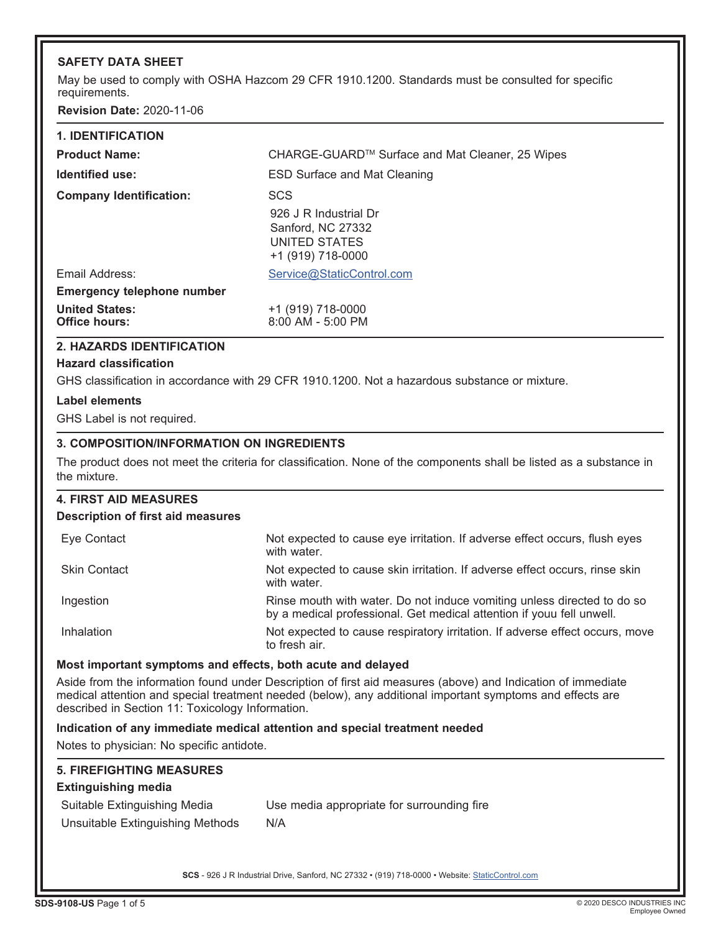### **SAFETY DATA SHEET**

May be used to comply with OSHA Hazcom 29 CFR 1910.1200. Standards must be consulted for specific requirements.

**Revision Date:** 2020-11-06

| <b>2. HAZARDS IDENTIFICATION</b>              |                                                                                    |
|-----------------------------------------------|------------------------------------------------------------------------------------|
| <b>United States:</b><br><b>Office hours:</b> | +1 (919) 718-0000<br>$8:00$ AM - 5:00 PM                                           |
| <b>Emergency telephone number</b>             |                                                                                    |
| Email Address:                                | Service@StaticControl.com                                                          |
|                                               | 926 J R Industrial Dr<br>Sanford, NC 27332<br>UNITED STATES<br>$+1$ (919) 718-0000 |
| <b>Company Identification:</b>                | <b>SCS</b>                                                                         |
| Identified use:                               | <b>ESD Surface and Mat Cleaning</b>                                                |
| <b>Product Name:</b>                          | CHARGE-GUARD™ Surface and Mat Cleaner, 25 Wipes                                    |
| <b>1. IDENTIFICATION</b>                      |                                                                                    |

# **Hazard classification**

GHS classification in accordance with 29 CFR 1910.1200. Not a hazardous substance or mixture.

### **Label elements**

GHS Label is not required.

### **3. COMPOSITION/INFORMATION ON INGREDIENTS**

The product does not meet the criteria for classification. None of the components shall be listed as a substance in the mixture.

## **4. FIRST AID MEASURES Description of first aid measures** Eye Contact Not expected to cause eye irritation. If adverse effect occurs, flush eyes with water. Skin Contact **Note Expected to cause skin irritation.** If adverse effect occurs, rinse skin with water. Ingestion **Rinse mouth with water.** Do not induce vomiting unless directed to do so by a medical professional. Get medical attention if youu fell unwell.

Inhalation **Note Expected to cause respiratory irritation**. If adverse effect occurs, move to fresh air.

### **Most important symptoms and effects, both acute and delayed**

Aside from the information found under Description of first aid measures (above) and Indication of immediate medical attention and special treatment needed (below), any additional important symptoms and effects are described in Section 11: Toxicology Information.

### **Indication of any immediate medical attention and special treatment needed**

Notes to physician: No specific antidote.

| <b>5. FIREFIGHTING MEASURES</b>  |                                            |
|----------------------------------|--------------------------------------------|
| <b>Extinguishing media</b>       |                                            |
| Suitable Extinguishing Media     | Use media appropriate for surrounding fire |
| Unsuitable Extinguishing Methods | N/A                                        |
|                                  |                                            |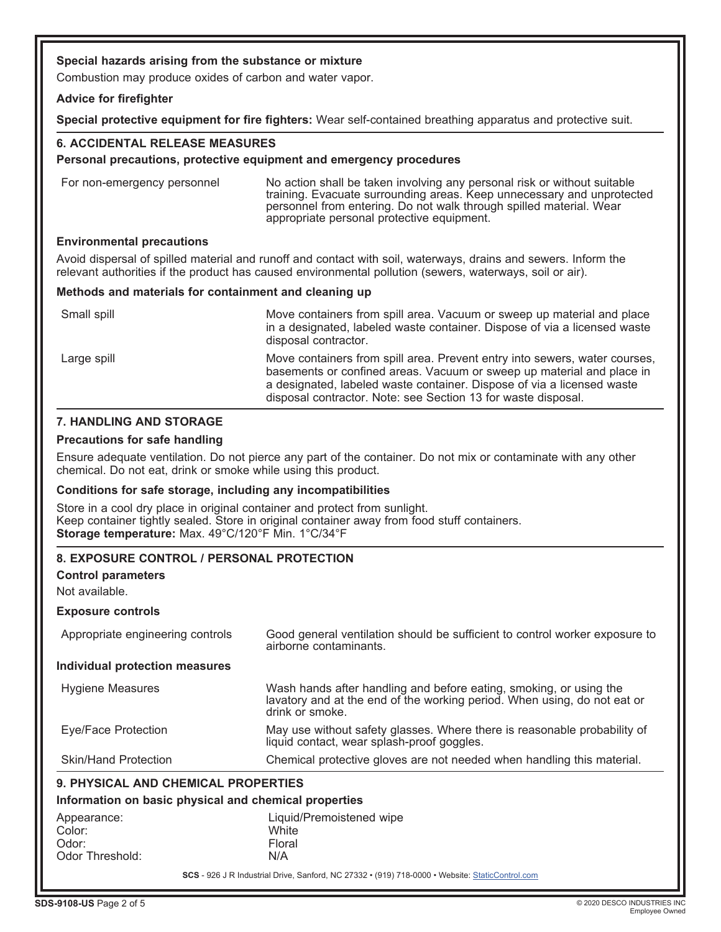### **Special hazards arising from the substance or mixture**

Combustion may produce oxides of carbon and water vapor.

#### **Advice for firefighter**

**Special protective equipment for fire fighters:** Wear self-contained breathing apparatus and protective suit.

### **6. ACCIDENTAL RELEASE MEASURES**

#### **Personal precautions, protective equipment and emergency procedures**

For non-emergency personnel No action shall be taken involving any personal risk or without suitable training. Evacuate surrounding areas. Keep unnecessary and unprotected personnel from entering. Do not walk through spilled material. Wear appropriate personal protective equipment.

### **Environmental precautions**

Avoid dispersal of spilled material and runoff and contact with soil, waterways, drains and sewers. Inform the relevant authorities if the product has caused environmental pollution (sewers, waterways, soil or air).

#### **Methods and materials for containment and cleaning up**

| Small spill | Move containers from spill area. Vacuum or sweep up material and place<br>in a designated, labeled waste container. Dispose of via a licensed waste<br>disposal contractor.                                                                                                                    |
|-------------|------------------------------------------------------------------------------------------------------------------------------------------------------------------------------------------------------------------------------------------------------------------------------------------------|
| Large spill | Move containers from spill area. Prevent entry into sewers, water courses,<br>basements or confined areas. Vacuum or sweep up material and place in<br>a designated, labeled waste container. Dispose of via a licensed waste<br>disposal contractor. Note: see Section 13 for waste disposal. |

### **7. HANDLING AND STORAGE**

#### **Precautions for safe handling**

Ensure adequate ventilation. Do not pierce any part of the container. Do not mix or contaminate with any other chemical. Do not eat, drink or smoke while using this product.

#### **Conditions for safe storage, including any incompatibilities**

Store in a cool dry place in original container and protect from sunlight. Keep container tightly sealed. Store in original container away from food stuff containers. **Storage temperature:** Max. 49°C/120°F Min. 1°C/34°F

### **8. EXPOSURE CONTROL / PERSONAL PROTECTION**

### **Control parameters**

Not available.

#### **Exposure controls**

| 9. PHYSICAL AND CHEMICAL PROPERTIES |                                                                                                                                                                   |  |
|-------------------------------------|-------------------------------------------------------------------------------------------------------------------------------------------------------------------|--|
| <b>Skin/Hand Protection</b>         | Chemical protective gloves are not needed when handling this material.                                                                                            |  |
| Eye/Face Protection                 | May use without safety glasses. Where there is reasonable probability of<br>liquid contact, wear splash-proof goggles.                                            |  |
| <b>Hygiene Measures</b>             | Wash hands after handling and before eating, smoking, or using the<br>lavatory and at the end of the working period. When using, do not eat or<br>drink or smoke. |  |
| Individual protection measures      |                                                                                                                                                                   |  |
| Appropriate engineering controls    | Good general ventilation should be sufficient to control worker exposure to<br>airborne contaminants.                                                             |  |

### **Information on basic physical and chemical properties**

| Appearance:     | Liquid/Premoistened wipe |
|-----------------|--------------------------|
| Color:          | White                    |
| Odor:           | Floral                   |
| Odor Threshold: | N/A                      |
|                 |                          |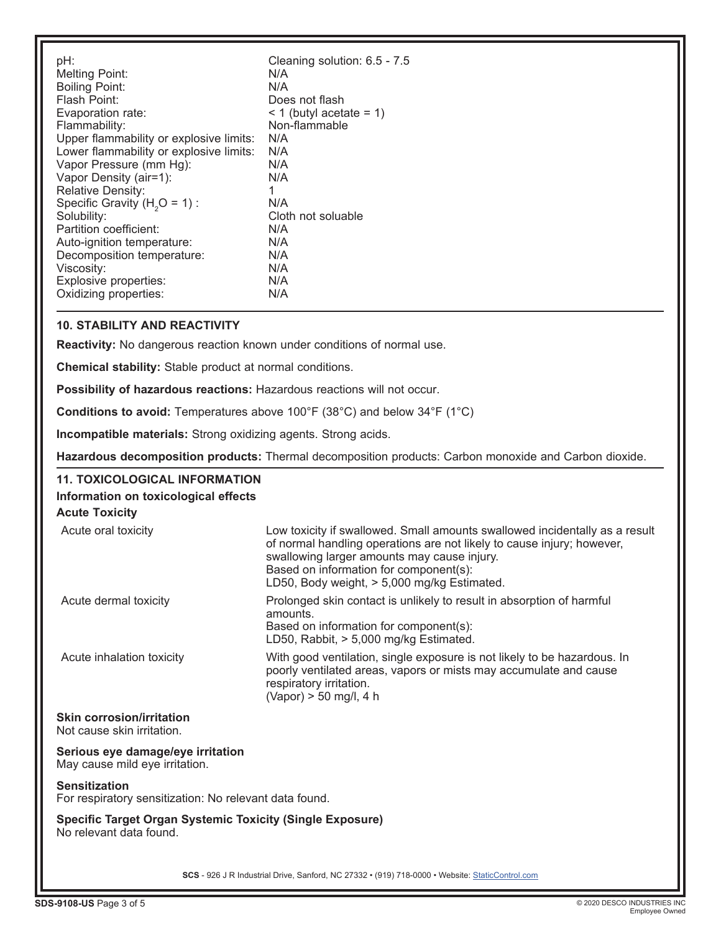| pH:<br><b>Melting Point:</b><br><b>Boiling Point:</b><br>Flash Point:<br>Evaporation rate:<br>Flammability:<br>Upper flammability or explosive limits:<br>Lower flammability or explosive limits:<br>Vapor Pressure (mm Hg):<br>Vapor Density (air=1):<br><b>Relative Density:</b><br>Specific Gravity ( $H2O = 1$ ) :<br>Solubility:<br>Partition coefficient:<br>Auto-ignition temperature:<br>Decomposition temperature:<br>Viscosity: | Cleaning solution: 6.5 - 7.5<br>N/A<br>N/A<br>Does not flash<br>$<$ 1 (butyl acetate = 1)<br>Non-flammable<br>N/A<br>N/A<br>N/A<br>N/A<br>1<br>N/A<br>Cloth not soluable<br>N/A<br>N/A<br>N/A<br>N/A<br>N/A |
|-------------------------------------------------------------------------------------------------------------------------------------------------------------------------------------------------------------------------------------------------------------------------------------------------------------------------------------------------------------------------------------------------------------------------------------------|-------------------------------------------------------------------------------------------------------------------------------------------------------------------------------------------------------------|
| Explosive properties:<br>Oxidizing properties:                                                                                                                                                                                                                                                                                                                                                                                            | N/A                                                                                                                                                                                                         |
|                                                                                                                                                                                                                                                                                                                                                                                                                                           |                                                                                                                                                                                                             |

### **10. STABILITY AND REACTIVITY**

**Reactivity:** No dangerous reaction known under conditions of normal use.

**Chemical stability:** Stable product at normal conditions.

**Possibility of hazardous reactions:** Hazardous reactions will not occur.

**Conditions to avoid:** Temperatures above 100°F (38°C) and below 34°F (1°C)

**Incompatible materials:** Strong oxidizing agents. Strong acids.

**Hazardous decomposition products:** Thermal decomposition products: Carbon monoxide and Carbon dioxide.

| <b>11. TOXICOLOGICAL INFORMATION</b><br>Information on toxicological effects                |                                                                                                                                                                                                                                                                                               |
|---------------------------------------------------------------------------------------------|-----------------------------------------------------------------------------------------------------------------------------------------------------------------------------------------------------------------------------------------------------------------------------------------------|
| <b>Acute Toxicity</b>                                                                       |                                                                                                                                                                                                                                                                                               |
| Acute oral toxicity                                                                         | Low toxicity if swallowed. Small amounts swallowed incidentally as a result<br>of normal handling operations are not likely to cause injury; however,<br>swallowing larger amounts may cause injury.<br>Based on information for component(s):<br>LD50, Body weight, > 5,000 mg/kg Estimated. |
| Acute dermal toxicity                                                                       | Prolonged skin contact is unlikely to result in absorption of harmful<br>amounts.<br>Based on information for component(s):<br>LD50, Rabbit, > 5,000 mg/kg Estimated.                                                                                                                         |
| Acute inhalation toxicity                                                                   | With good ventilation, single exposure is not likely to be hazardous. In<br>poorly ventilated areas, vapors or mists may accumulate and cause<br>respiratory irritation.<br>(Vapor) > 50 mg/l, 4 h                                                                                            |
| <b>Skin corrosion/irritation</b><br>Not cause skin irritation.                              |                                                                                                                                                                                                                                                                                               |
| Serious eye damage/eye irritation<br>May cause mild eye irritation.                         |                                                                                                                                                                                                                                                                                               |
| <b>Sensitization</b><br>For respiratory sensitization: No relevant data found.              |                                                                                                                                                                                                                                                                                               |
| <b>Specific Target Organ Systemic Toxicity (Single Exposure)</b><br>No relevant data found. |                                                                                                                                                                                                                                                                                               |
|                                                                                             | SCS - 926 J R Industrial Drive, Sanford, NC 27332 · (919) 718-0000 · Website: StaticControl.com                                                                                                                                                                                               |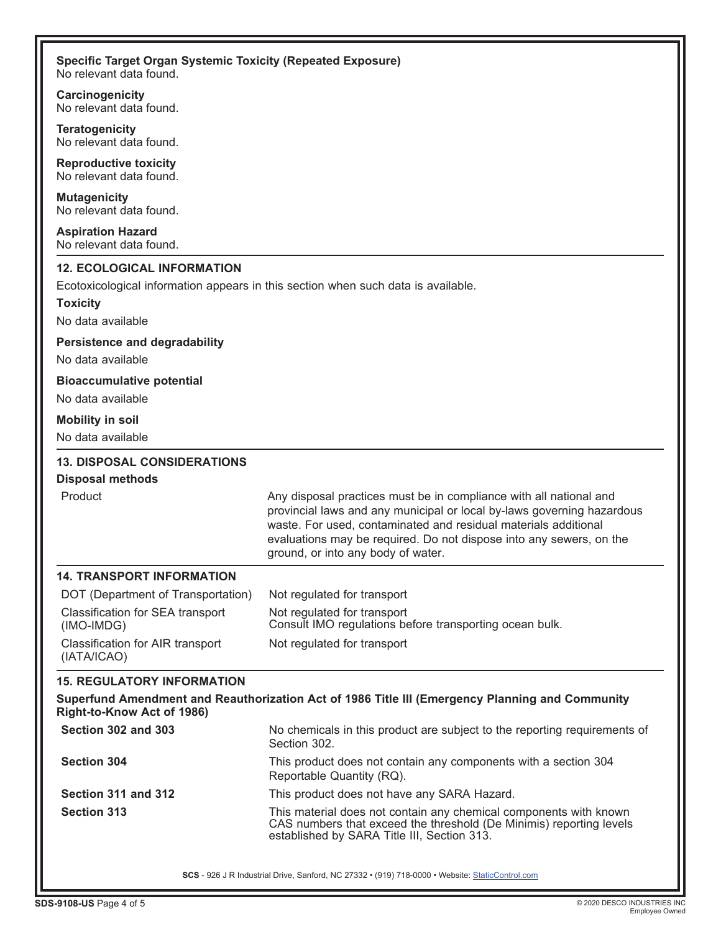| Specific Target Organ Systemic Toxicity (Repeated Exposure) |  |
|-------------------------------------------------------------|--|
| No relevant data found.                                     |  |

**Carcinogenicity** No relevant data found.

**Teratogenicity** No relevant data found.

**Reproductive toxicity** No relevant data found.

**Mutagenicity** No relevant data found.

**Aspiration Hazard** No relevant data found.

### **12. ECOLOGICAL INFORMATION**

Ecotoxicological information appears in this section when such data is available.

**Toxicity**

No data available

### **Persistence and degradability**

No data available

### **Bioaccumulative potential**

No data available

### **Mobility in soil**

No data available

### **13. DISPOSAL CONSIDERATIONS**

### **Disposal methods**

| Product |  |
|---------|--|
|         |  |

Any disposal practices must be in compliance with all national and provincial laws and any municipal or local by-laws governing hazardous waste. For used, contaminated and residual materials additional evaluations may be required. Do not dispose into any sewers, on the ground, or into any body of water.

### **14. TRANSPORT INFORMATION**

| DOT (Department of Transportation)              | Not regulated for transport                                                            |
|-------------------------------------------------|----------------------------------------------------------------------------------------|
| Classification for SEA transport<br>(IMO-IMDG)  | Not regulated for transport<br>Consult IMO regulations before transporting ocean bulk. |
| Classification for AIR transport<br>(IATA/ICAO) | Not regulated for transport                                                            |

### **15. REGULATORY INFORMATION**

| Superfund Amendment and Reauthorization Act of 1986 Title III (Emergency Planning and Community |  |  |  |
|-------------------------------------------------------------------------------------------------|--|--|--|
| Right-to-Know Act of 1986)                                                                      |  |  |  |

| Section 302 and 303 | No chemicals in this product are subject to the reporting requirements of<br>Section 302.                                                                                               |
|---------------------|-----------------------------------------------------------------------------------------------------------------------------------------------------------------------------------------|
| <b>Section 304</b>  | This product does not contain any components with a section 304<br>Reportable Quantity (RQ).                                                                                            |
| Section 311 and 312 | This product does not have any SARA Hazard.                                                                                                                                             |
| <b>Section 313</b>  | This material does not contain any chemical components with known<br>CAS numbers that exceed the threshold (De Minimis) reporting levels<br>established by SARA Title III, Section 313. |